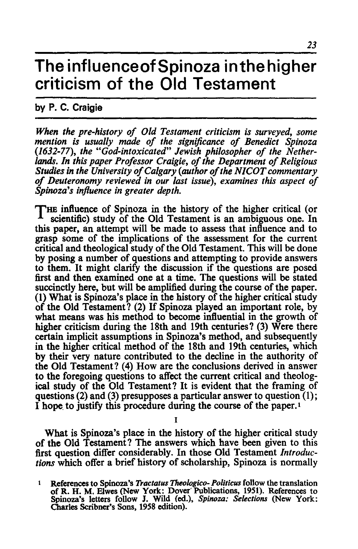## **The influenceofSpinoza inthe higher criticism of the Old Testament**

by P. C. Craigie

*When the pre-history of Old Testament criticism is surveyed, some mention is usually made of the significance of Benedict Spinoza (1632-77), the "God-intoxicated" Jewish philosopher of the Netherlands. In this paper Professor Craigie, of the Department of Religious Studies in the University of Calgary (author of the NICOT commentary of Deuteronomy reviewed in our last issue), examines this aspect of Spinoza's influence in greater depth.* 

THE influence of Spinoza in the history of the higher critical (or scientific) study of the Old Testament is an ambiguous one. In this paper, an attempt will be made to assess that influence and to grasp some of the implications of the assessment for the current critical and theological study of the Old Testament. This will be done by posing a number of questions and attempting to provide answers to them. It might clarify the discussion if the questions are posed first and then examined one at a time. The questions will be stated succinctly here, but will be amplified during the course of the paper. (1) What is Spinoza's place in the history of the higher critical study of the Old Testament? (2) If Spinoza played an important role, by what means was his method to become influential in the growth of higher criticism during the 18th and 19th centuries? (3) Were there certain implicit assumptions in Spinoza's method, and subsequently in the higher critical method of the 18th and 19th centuries, which by their very nature contributed to the decline in the authority of the Old Testament? (4) How are the conclusions derived in answer to the foregoing questions to affect the current critical and theological study of the Old Testament? It is evident that the framing of questions (2) and (3) presupposes a particular answer to question  $(1)$ ; I hope to justify this procedure during the course of the paper.<sup>1</sup>

What is Spinoza's place in the history of the higher critical study of the Old Testament? The answers which have been given to this first question differ considerably. In those Old Testament *Introductions* which offer a brief history of scholarship, Spinoza is normally

I

<sup>1</sup>References to Spinoza's *Tractatus Theologico- Politicus* follow the translation of R. H. M. Elwes (New York: Dover' Publications, 1951). References to Spinoza's letters follow 1. Wild (ed.), *Spinoza: Selections* (New York: Charles Scribner's Sons, 1958 edition).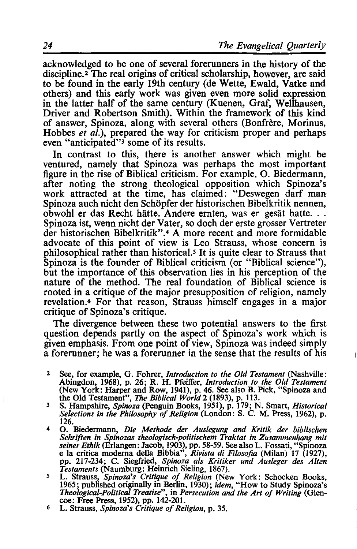acknowledged to be one of several forerunners in the history of the discipline.<sup>2</sup> The real origins of critical scholarship, however, are said to be found in the early 19th century (de Wette, Ewald, Vatke and others) and this early work was given even more solid expression in the latter half of the same century (Kuenen, Graf, Wellhausen, Driver and Robertson Smith). Within the framework of this kind of answer, Spinoza, along with several others (Bonfrère, Morinus, Hobbes *et al.*), prepared the way for criticism proper and perhaps even "anticipated"3 some of its results.

In contrast to this, there is another answer which might be ventured, namely that Spinoza was perhaps the most important figure in the rise of Biblical criticism. For example, O. Biedermann, after noting the strong theological opposition which Spinoza's work attracted at the time, has claimed: "Deswegen darf man Spinoza auch nicht den Schöpfer der historischen Bibelkritik nennen, obwohl er das Recht hiitte. Andere ernten, was er gesat hatte ... Spinoza ist, wenn nicht der Vater, so doch der erste grosser Vertreter der historischen Bibelkritik".4 A more recent and more formidable advocate of this point of view is Leo Strauss, whose concern is philosophical rather than historical.<sup>5</sup> It is quite clear to Strauss that Spinoza is the founder of Biblical criticism (or "Biblical science"), but the importance of this observation lies in his perception of the nature of the method. The real foundation of Biblical science is rooted in a critique of the major presupposition of religion, namely revelation.6 For that reason, Strauss himself engages in a major critique of Spinoza's critique.

The divergence between these two potential answers to the first question depends partly on the aspect of Spinoza's work which is given emphasis. From one point of view, Spinoza was indeed simply a forerunner; he was a forerunner in the sense that the results of his

- 2 See, for example, G. Fohrer, *Introduction to the Old Testament* (Nashville: Abingdon, 1968), p. 26; R. H. Pfeiffer, *Introduction to the Old Testament*  (New York: Harper and Row, 1941), p. 46. See also B. Pick, "Spinoza and
- the Old Testament", The *Biblical World* 2 (1893), p. 113. 3 S. Hampshire, *Spinoza* (penguin Books, 1951), p. 179; N. Smart, *Historical Selections in the Philosophy of Religion* (London: S. C. M. Press, 1962), p. 126. 4 O. Biedermann, *Die Methode der Auslegung and Kritik der biblischen*
- *Schri/ten in Spinozas theologisch-politischem Traktat in Zusammenhang mit seiner Ethik* (Erlangen: Jacob, 1903), pp. 58-59. See also L. Fossati, "Spinoza e la critica modema della Bibbia", *Rivista di Filosofia* (Milan) 17 (1927), pp. 217-234; C. Siegfried, *Spinoza als Kritiker und Ausleger des Alten*
- *Testaments* (Naumburg: Heinrich Sieling, 1867). 5 L. Strauss, *Spinoza's Critique of Religion* (New York: Schocken Books, 1965; published originally in Berlin, 1930); *idem,* "How to Study Spinoza's *Theological-Political Treatise",* in *Persecution and the Art of Writing* (Glen- coe: Free Press, 1952), pp. 142-201. 6 L. Strauss, *Spinoza's Critique of Religion,* p. 35.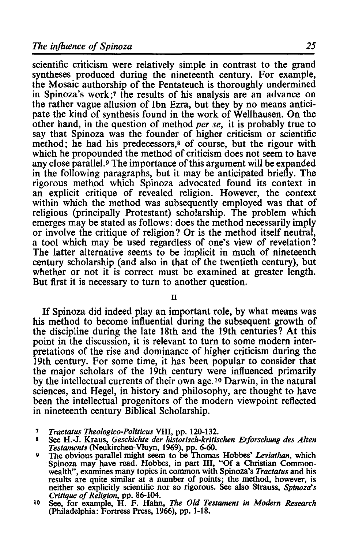scientific criticism were relatively simple in contrast to the grand syntheses produced during the nineteenth century. For example, the Mosaic authorship of the Pentateuch is thoroughly undermined in Spinoza's work;7 the results of his analysis are an advance on the rather vague allusion of Ibn Ezra, but they by no means anticipate the kind of synthesis found in the work of Wellhausen. On the other hand, in the question of method *per se,* it is probably true to say that Spinoza was the founder of higher criticism or scientific method; he had his predecessors,<sup>8</sup> of course, but the rigour with which he propounded the method of criticism does not seem to have any close parallel. 9 The importance of this argument will be expanded in the following paragraphs, but it may be anticipated briefly. The rigorous method which Spinoza advocated found its context in an explicit critique of revealed religion. However, the context within which the method was subsequently employed was that of religious (principally Protestant) scholarship. The problem which emerges may be stated as follows: does the method necessarily imply or involve the critique of religion? Or is the method itself neutral, a tool which may be used regardless of one's view of revelation? The latter alternative seems to be implicit in much of nineteenth century scholarship (and also in that of the twentieth century), but whether or not it is correct must be examined at greater length. But first it is necessary to turn to another question.

11

If Spinoza did indeed play an important role, by what means was his method to become influential during the subsequent growth of the discipline during the late 18th and the 19th centuries? At this point in the discussion, it is relevant to turn to some modern interpretations of the rise and dominance of higher criticism during the 19th century. For some time, it has been popular to consider that the major scholars of the 19th century were influenced primarily by the intellectual currents of their own age.<sup>10</sup> Darwin, in the natural sciences, and Hegel, in history and philosophy, are thought to have been the intellectual progenitors of the modern viewpoint reflected in nineteenth century Biblical Scholarship.

- 
- 7 Tractatus Theologico-Politicus VIII, pp. 120-132.<br>
8 See H.-J. Kraus, *Geschichte der historisch-kritischen Erforschung des Alten*<br>
Testaments (Neukirchen-Vluyn, 1969), pp. 6-60.
- *Testaments* (Neukirchen-Vluyn, 1969), pp. 6-60. 9 The obvious parallel might seem to be Thomas Hobbes' *Leviathan,* which Spinoza may have read. Hobbes, in part Ill, "Of a Christian Common-wealth", examines many topics in common with Spinoza's *Tractatus* and his results are quite similar at a number of points; the method, however, is neither so explicitly scientific nor so rigorous. See also Strauss, *Spinoza's*
- <sup>10</sup> See, for example, H. F. Hahn, *The Old Testament in Modern Research* (philadelphia: Fortress Press, 1966), pp. 1-18.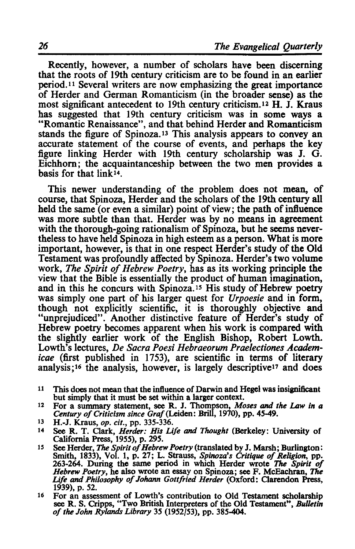Recently, however, a number of scholars have been discerning that the roots of 19th century criticism are to be found in an earlier period. 11 Several writers are now emphasizing the great importance of Herder and German Romanticism (in the broader sense) as the most significant antecedent to 19th century criticism.<sup>12</sup> H. J. Kraus has suggested that 19th century criticism was in some ways a "Romantic Renaissance", and that behind Herder and Romanticism stands the figure of Spinoza. 13 This analysis appears to convey an accurate statement of the course of events, and perhaps the key figure linking Herder with 19th century scholarship was J. G. Eichhorn; the acquaintanceship between the two men provides a basis for that linkl4.

This newer understanding of the problem does not mean, of course, that Spinoza, Herder and the scholars of the 19th century all held the same (or even a similar) point of view; the path of influence was more subtle than that. Herder was by no means in agreement with the thorough-going rationalism of Spinoza, but he seems nevertheless to have held Spinoza in high esteem as a person. What is more important, however, is that in one respect Herder's study of the Old Testament was profoundly affected by Spinoza. Herder's two volume work, *The Spirit of Hebrew Poetry,* has as its working principle the view that the Bible is essentially the product of human imagination, and in this he concurs with Spinoza.<sup>15</sup> His study of Hebrew poetry was simply one part of his larger quest for *Urpoesie* and in form, though not explicitly scientific, it is thoroughly objective and "unprejudiced". Another distinctive feature of Herder's study of Hebrew poetry becomes apparent when his work is compared with the slightly earlier work of the English Bishop, Robert Lowth. Lowth's lectures, *De Sacra Poesi Hebraeorum Praelectiones Academicae* (first published in 1753), are scientific in terms of literary analysis;16 the analysis, however, is largely descriptivel7 and does

- <sup>11</sup> This does not mean that the influence of Darwin and Hegel was insignificant but simply that it must be set within a larger context.
- but simply that it must be set with simples and *the Law in a*<br>*Century of Criticism since Graf* (Leiden: Brill, 1970), pp. 45-49.<br>13 H<sub>-</sub>J. Kraus *on, cit*, pp. 335-336.
- 13 H.-J. Kraus, *op. cit.,* pp. 335-336.
- 14 See R. T. aark, *Herder: His Life* and *Thought* (Berkeley: University of California Press, 1955), p. 295.
- IS See Herder, *The Spirit of Hebrew Poetry* (translated by J. Marsh; Burlington: Smith, 1833), Vol. 1, p. 27; L. Strauss, *Spinoza's Critique of Religion,* pp. 263-264. During the same period in which Herder wrote *The Spirit of Hebrew Poetry,* he also wrote an essay on Spinoza; see F. McEachran, *The*  Life and Philosophy of Johann Gottfried Herder (Oxford: Clarendon Press, 1939), p. 52.<br>16 For an assessment of Lowth's contribution to Old Testament scholarship
- 16 For an assessment of Lowth's contribution to Old Testament scholarship see R. S. Cripps, "Two British Interpreters of the Old Testament", *Bulletin of the John Ryiands Library* 35 (1952/53), pp. 385-404.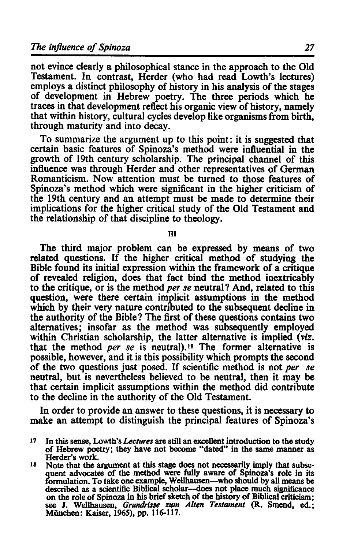not evince clearly a philosophical stance in the approach to the Old Testament. In contrast, Herder (who had read Lowth's lectures) employs a distinct philosophy of history in his analysis of the stages of development in Hebrew poetry. The three periods which he traces in that development reflect his organic view of history, namely that within history, cultural cycles develop like organisms from birth, through maturity and into decay.

To summarize the argument up to this point: it is suggested that certain basic features of Spinoza's method were influential in the growth of 19th century scholarship. The principal channel of this influence was through Herder and other representatives of German Romanticism. Now attention must be turned to those features of Spinoza's method which were significant in the higher criticism of the 19th century and an attempt must be made to determine their implications for the higher critical study of the Old Testament and the relationship of that discipline to theology.

III

The third major problem can be expressed by means of two related questions. If the higher critical method of studying the Bible found its initial expression within the framework of a critique of revealed religion, does that fact bind the method inextricably to the critique, or is the method *per se* neutral? And, related to this question, were there certain implicit assumptions in the method which by their very nature contributed to the subsequent decline in the authority of the Bible? The first of these questions contains two alternatives; insofar as the method was subsequently employed within Christian scholarship, the latter alternative is implied *(viz.*  that the method *per se* is neutral).18 The former alternative is possible, however, and it is this possibility which prompts the second of the two questions just posed. If scientific method is not *per se*  neutral, but is nevertheless believed to be neutral, then it may be that certain implicit assumptions within the method did contribute to the decline in the authority of the Old Testament.

In order to provide an answer to these questions, it is necessary to make an attempt to distinguish the principal features of Spinoza's

<sup>17</sup> In this sense, Lowth's *Lectures* are still an excellent introduction to the study of Hebrew poetry; they have not become "dated" in the same manner as Herder's work.

<sup>18</sup> Note that the argument at this stage does not necessarily imply that subsequent advocates of the method were fully aware of Spinoza's role in its formulation. To take one example, Wellhausen—who should by all means be described as a scientific Biblical scholar—does not place much significance described as a scientific Biblical scholar—does not place much significance<br>on the role of Spinoza in his brief sketch of the history of Biblical criticism;<br>see J. Wellhausen, *Grundrisse zum Alten Testament* (R. Smend, ed Miinchen: Kaiser, 1965), pp. 116-117.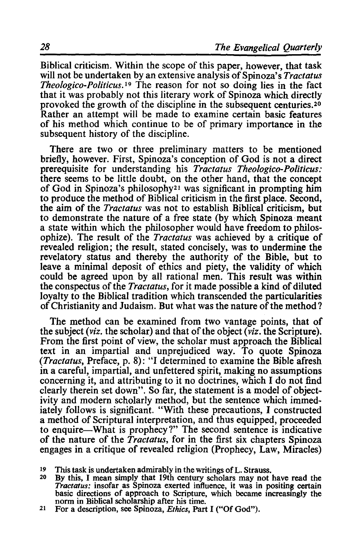Biblical criticism. Within the scope of this paper, however, that task will not be undertaken by an extensive analysis of Spinoza's *Tractatus Theologico-Politicus.*<sup>19</sup> The reason for not so doing lies in the fact that it was probably not this literary work of Spinoza which directly provoked the growth of the discipline in the subsequent centuries.<sup>20</sup> Rather an attempt will be made to examine certain basic features of his method which continue to be of primary importance in the subsequent history of the discipline.

There are two or three preliminary matters to be mentioned briefly, however. First, Spinoza's conception of God is not a direct prerequisite for understanding his *Tractatus Theologico-Politicus:*  there seems to be little doubt, on the other hand, that the concept of God in Spinoza's philosophy21 was significant in prompting him to produce the method of Biblical criticism in the first place. Second, the aim of the *Tractatus* was not to establish Biblical criticism, but to demonstrate the nature of a free state (by which Spinoza· meant a state within which the philosopher would have freedom to philosophize). The result of the *Tractatus* was achieved by a critique of revealed religion; the result, stated concisely, was to undermine the revelatory status and thereby the authority of the Bible, but to leave a minimal deposit of ethics and piety, the validity of which could be agreed upon by all rational men. This result was within the conspectus of the *Tractatus,* for it made possible a kind of diluted loyalty to the Biblical tradition which transcended the particularities of Christianity and ludaism. But what was the nature of the method?

The method can be examined from two vantage points, that of the subject *(viz.* the scholar) and that of the object *(viz.* the Scripture). From the first point of view, the scholar must approach the Biblical text in an impartial and unprejudiced way. To quote Spinoza *(Tractatus,* Preface, p. 8): "I determined to examine the Bible afresh in a careful, impartial, and unfettered spirit, making no assumptions concerning it, and attributing to it no doctrines, which I do not find clearly therein set down". So far, the statement is a model of objectivity and modern scholarly method, but the sentence which immediately follows is significant. "With these precautions, I constructed a method of Scriptural interpretation, and thus equipped, proceeded to enquire-What is prophecy?" The second sentence is indicative of the nature of the *Tractatus,* for in the first six chapters Spinoza engages in a critique of revealed religion (Prophecy, Law, Miracles)

- 
- 19 This task is undertaken admirably in the writings of L. Strauss. 20 By this, I mean simply that 19th century scholars may not have read the *Tractatus:* insofar as Spinoza exerted influence, it was in positing certain basic directions of approach to Scripture, which became increasingly the norm in Biblical scholarship after his time.<br><sup>21</sup> For a description, see Spinoza, *Ethics*, Part I ("Of God").
-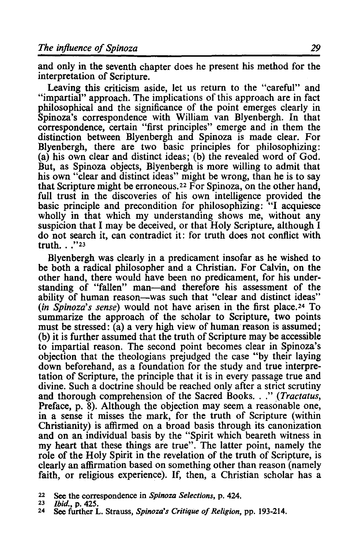and only in the seventh chapter does he present his method for the interpretation of Scripture.

Leaving this criticism aside, let us return to the "careful" and "impartial" approach. The implications of this approach are in fact philosophical and the significance of the point emerges clearly in Spinoza's correspondence with William van Blyenbergh. In that correspondence, certain "first principles" emerge and in them the distinction between Blyenbergh and Spinoza is made clear. For Blyenbergh, there are two basic principles for philosophizing: (a) his own clear and distinct ideas; (b) the revealed word of God. But, as Spinoza objects, Blyenbergh is more willing to admit that his own "clear and distinct ideas" might be wrong, than he is to say that Scripture might be erroneous. 22 For Spinoza, on the other hand, full trust in the discoveries of his own intelligence provided the basic principle and precondition for philosophizing: "I acquiesce wholly in that which my understanding shows me, without any suspicion that I may be deceived, or that Holy Scripture, although I do not search it, can contradict it: for truth does not conflict with truth ... "23

Blyenbergh was clearly in a predicament insofar as he wished to be both a radical philosopher and a Christian. For Calvin, on the other hand, there would have been no predicament, for his understanding of "fallen" man-and therefore his assessment of the ability of human reason-was such that "clear and distinct ideas" *(in Spinoza's sense)* would not have arisen in the first place. 24 To summarize the approach of the scholar to Scripture, two points must be stressed: (a) a very high view of human reason is assumed; (b) it is further assumed that the truth of Scripture may be accessible to impartial reason. The second point becomes clear in Spinoza's objection that the theologians prejudged the case "by their laying down beforehand, as a foundation for the study and true interpretation of Scripture, the principle that it is in every passage true and divine. Such a doctrine should be reached only after a strict scrutiny and thorough comprehension of the Sacred Books. . ." *(Tractatus,* Preface, p. 8). Although the objection may seem a reasonable one, in a sense it misses the mark, for the truth of Scripture (within Christianity) is affirmed on a broad basis through its canonization and on an individual basis by the "Spirit which beareth witness in my heart that these things are true". The latter point, namely the role of the Holy Spirit in the revelation of the truth of Scripture, is clearly an affirmation based on something other than reason (namely faith, or religious experience). If, then, a Christian scholar has a

<sup>22</sup> See the correspondence in *Spinoza Selections,* p. 424. *23 Ibid.,* p. 425. 24 See further L. Strauss, *Spinoza's Critique of Religion,* pp. 193-214.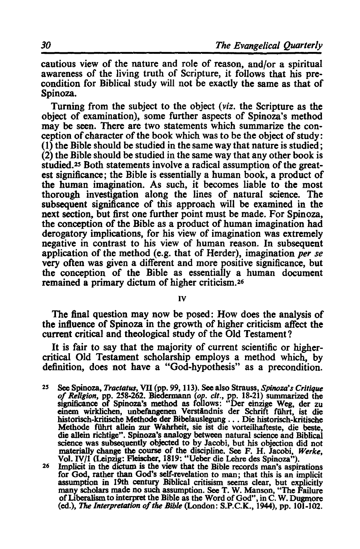cautious view of the nature and role of reason, and/or a spiritual awareness of the living truth of Scripture, it follows that his precondition for Biblical study will not be exactly the same as that of Spinoza.

Turning from the subject to the object (viz. the Scripture as the object of examination), some further aspects of Spinoza's method may be seen. There are two statements which summarize the conception of character of the book which was to be the object of study:  $(1)$  the Bible should be studied in the same way that nature is studied;  $(2)$  the Bible should be studied in the same way that any other book is studied.25 Both statements involve a radical assumption of the greatest significance; the Bible is essentially a human book, a product of the human imagination. As such, it becomes liable to the most thorough investigation along the lines of natural science. The subsequent significance of this approach will be examined in the next section, but first one further point must be made. For Spinoza, the conception of the Bible as a product of human imagination had derogatory implications, for his view of imagination was extremely negative in contrast to his view of human reason. In subsequent application of the method (e.g. that of Herder), imagination *per se*  very often was given a different and more positive significance, but the conception of the Bible as essentially a human document remained a primary dictum of higher criticism.26

IV

The final question may now be posed: How does the analysis of the influence of Spinoza in the growth of higher criticism affect the current critical and theological study of the Old Testament?

It is fair to say that the majority of current scientific or highercritical Old Testament scholarship employs a method which, by definition, does not have a "God-hypothesis" as a precondition.

- 25 See Spinoza, *Tractatus,* VII (pp. 99, 113). See also Strauss, *Spinoza's Critique of Religion,* pp. 258-262. Biedermann *(op. eit.,* pp. 18-21) summarized the significance of Spinoza's method as follows: "Der einzige Weg, der zu einem wirklichen, unbefangenen Verstindnis der Schrift filhrt, ist die historisch-kritische Methode der Bibelauslegung ... Die historisch-kritische Methode filhrt alIein zur Wahrheit, sie ist die vorteilhafteste, die beste, die alIein richtige". Spinoza's analogy between natural science and Biblical science was subsequently objected to by Jacobi, but his objection did not materially change the course of the discipline. See F. H. Jacobi, *Werke,*  Vol. IV/I (Leipzig: Fleischer, 1819: "Ueber die Lehre des Spinoza").<br><sup>26</sup> Implicit in the dictum is the view that the Bible records man's aspirations
- for God, rather than God's self-revelation to man; that this is an implicit assumption in 19th century Biblical critisism seems clear, but explicitly many scholars made no such assumption. See T. W. Manson, "The Failure of Liberalism to interpret the Bible as the Word of God", in C. W. Dugmore (ed.), The Interpretation of the Bible (London: S.P.C.K., 1944), pp. 101-102.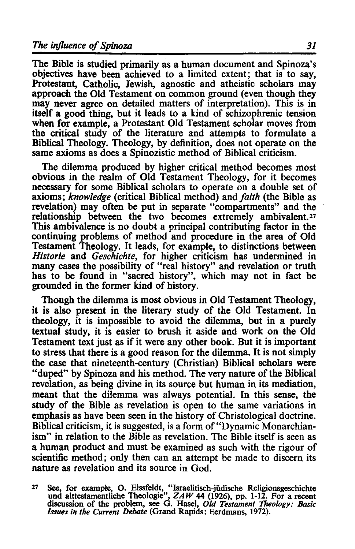The Bible is studied primarily as a human document and Spinoza's objectives have been achieved to a limited extent; that is to say, Protestant, Catholic, Jewish, agnostic and atheistic scholars may approach the Old Testament on common ground (even though they may never agree on detailed matters of interpretation). This is in itself a good thing, but it leads to a kind of schizophrenic tension when for example, a Protestant Old Testament scholar moves from the critical study of the literature and attempts to formulate a Biblical Theology. Theology, by definition, does not operate on the same axioms as does a Spinozistic method of Biblical criticism.

The dilemma produced by higher critical method becomes most obvious in the realm of Old Testament Theology, for it becomes necessary for some Biblical scholars to operate on a double set of axioms; *knowledge* (critical Biblical method) and *faith* (the Bible as revelation) may often be put in separate "compartments" and the relationship between the two becomes extremely ambivalent.<sup>27</sup> This ambivalence is no doubt a principal contributing factor in the continuing problems of method and procedure in the area of Old Testament Theology. It leads, for example, to distinctions between *Historie* and *Geschichte,* for higher criticism has undermined in many cases the possibility of "real history" and revelation or truth has to be found in "sacred history", which may not in fact be grounded in the former kind of history.

Though the dilemma is most obvious in Old Testament Theology, it is also present in the literary study of the Old Testament. In theology, it is impossible to avoid the dilemma, but in a purely textual study, it is easier to brush it aside and work on the Old Testament text just as if it were any other book. But it is important to stress that there is a good reason for the dilemma. It is not simply the case that nineteenth-century (Christian) Biblical scholars were "duped" by Spinoza and his method. The very nature of the Biblical revelation, as being divine in its source but human in its mediation, meant that the dilemma was always potential. In this sense, the study of the Bible as revelation is open to the same variations in emphasis as have been seen in the history of Christological doctrine. Biblical criticism, it is suggested, is a form of "Dynamic Monarchianism" in relation to the Bible as revelation. The Bible itself is seen as a human product and must be examined as such with the rigour of scientific method; only then can an attempt be made to discern its nature as revelation and its source in God.

<sup>&</sup>lt;sup>27</sup> See, for example, O. Eissfeldt, "Israelitisch-jüdische Religionsgeschichte und alttestamentliche Theologie",  $ZAW$  44 (1926), pp. 1-12. For a recent discussion of the problem, see G. Hasel, *Old Testament Theology: Ba Issues* in *the Current Debate* (Grand Rapids: Eerdmans, 1972).